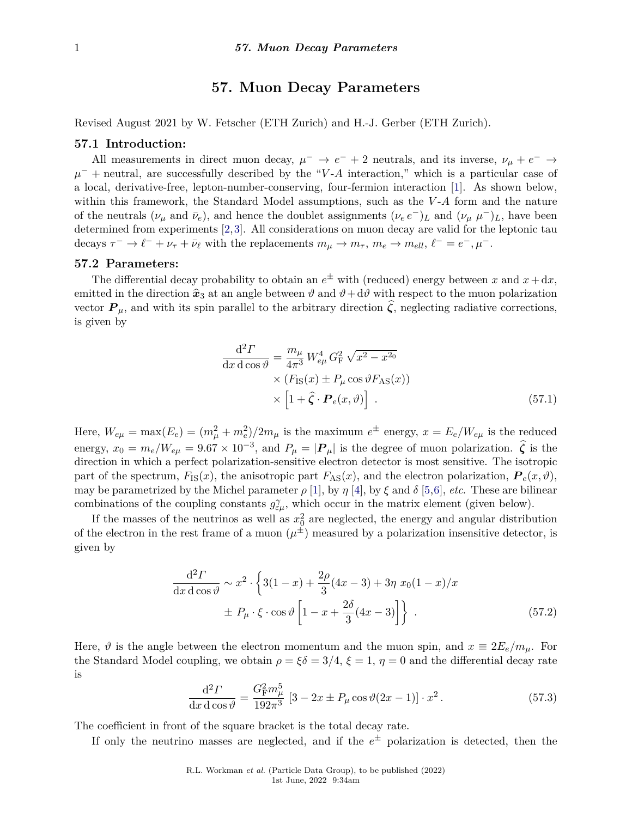# **57. Muon Decay Parameters**

Revised August 2021 by W. Fetscher (ETH Zurich) and H.-J. Gerber (ETH Zurich).

### **57.1 Introduction:**

All measurements in direct muon decay,  $\mu^- \to e^- + 2$  neutrals, and its inverse,  $\nu_\mu + e^- \to$  $\mu$ <sup>-</sup> + neutral, are successfully described by the "*V*-*A* interaction," which is a particular case of a local, derivative-free, lepton-number-conserving, four-fermion interaction [\[1\]](#page-4-0). As shown below, within this framework, the Standard Model assumptions, such as the *V*-A form and the nature of the neutrals  $(\nu_{\mu} \text{ and } \bar{\nu}_{e}),$  and hence the doublet assignments  $(\nu_{e} e^{-})_{L}$  and  $(\nu_{\mu} \mu^{-})_{L}$ , have been determined from experiments [\[2,](#page-4-1)[3\]](#page-4-2). All considerations on muon decay are valid for the leptonic tau decays  $\tau^- \to \ell^- + \nu_\tau + \bar{\nu}_\ell$  with the replacements  $m_\mu \to m_\tau$ ,  $m_e \to m_{ell}$ ,  $\ell^- = e^-$ ,  $\mu^-$ .

## **57.2 Parameters:**

The differential decay probability to obtain an  $e^{\pm}$  with (reduced) energy between x and  $x + dx$ , emitted in the direction  $\hat{x}_3$  at an angle between  $\vartheta$  and  $\vartheta + d\vartheta$  with respect to the muon polarization vector  $P_{\mu}$ , and with its spin parallel to the arbitrary direction  $\hat{\zeta}$ , neglecting radiative corrections, is given by

$$
\frac{\mathrm{d}^2 \Gamma}{\mathrm{d}x \, \mathrm{d}\cos\vartheta} = \frac{m_\mu}{4\pi^3} W_{e\mu}^4 G_{\mathrm{F}}^2 \sqrt{x^2 - x^{20}} \times (F_{\mathrm{IS}}(x) \pm P_\mu \cos\vartheta F_{\mathrm{AS}}(x)) \times \left[1 + \hat{\zeta} \cdot \boldsymbol{P}_e(x, \vartheta)\right] . \tag{57.1}
$$

Here,  $W_{e\mu} = \max(E_e) = (m_\mu^2 + m_e^2)/2m_\mu$  is the maximum  $e^{\pm}$  energy,  $x = E_e/W_{e\mu}$  is the reduced energy,  $x_0 = m_e/W_{e\mu} = 9.67 \times 10^{-3}$ , and  $P_{\mu} = |\mathbf{P}_{\mu}|$  is the degree of muon polarization.  $\hat{\zeta}$  is the direction in which a perfect polarization-sensitive electron detector is most sensitive. The isotropic part of the spectrum,  $F_{\text{IS}}(x)$ , the anisotropic part  $F_{\text{AS}}(x)$ , and the electron polarization,  $P_e(x, \vartheta)$ , may be parametrized by the Michel parameter  $\rho$  [\[1\]](#page-4-0), by  $\eta$  [\[4\]](#page-5-0), by  $\xi$  and  $\delta$  [\[5,](#page-5-1)[6\]](#page-5-2), *etc*. These are bilinear combinations of the coupling constants  $g_{\varepsilon\mu}^{\gamma}$ , which occur in the matrix element (given below).

If the masses of the neutrinos as well as  $x_0^2$  are neglected, the energy and angular distribution of the electron in the rest frame of a muon  $(\mu^{\pm})$  measured by a polarization insensitive detector, is given by

$$
\frac{d^2 \Gamma}{dx d \cos \vartheta} \sim x^2 \cdot \left\{ 3(1-x) + \frac{2\rho}{3} (4x-3) + 3\eta \ x_0 (1-x)/x + P_\mu \cdot \xi \cdot \cos \vartheta \left[ 1 - x + \frac{2\delta}{3} (4x-3) \right] \right\} \ . \tag{57.2}
$$

Here,  $\vartheta$  is the angle between the electron momentum and the muon spin, and  $x \equiv 2E_e/m_\mu$ . For the Standard Model coupling, we obtain  $\rho = \xi \delta = 3/4$ ,  $\xi = 1$ ,  $\eta = 0$  and the differential decay rate is

$$
\frac{\mathrm{d}^2 \Gamma}{\mathrm{d}x \,\mathrm{d}\cos\vartheta} = \frac{G_{\rm F}^2 m_{\mu}^5}{192\pi^3} \left[ 3 - 2x \pm P_{\mu}\cos\vartheta(2x - 1) \right] \cdot x^2. \tag{57.3}
$$

The coefficient in front of the square bracket is the total decay rate.

If only the neutrino masses are neglected, and if the  $e^{\pm}$  polarization is detected, then the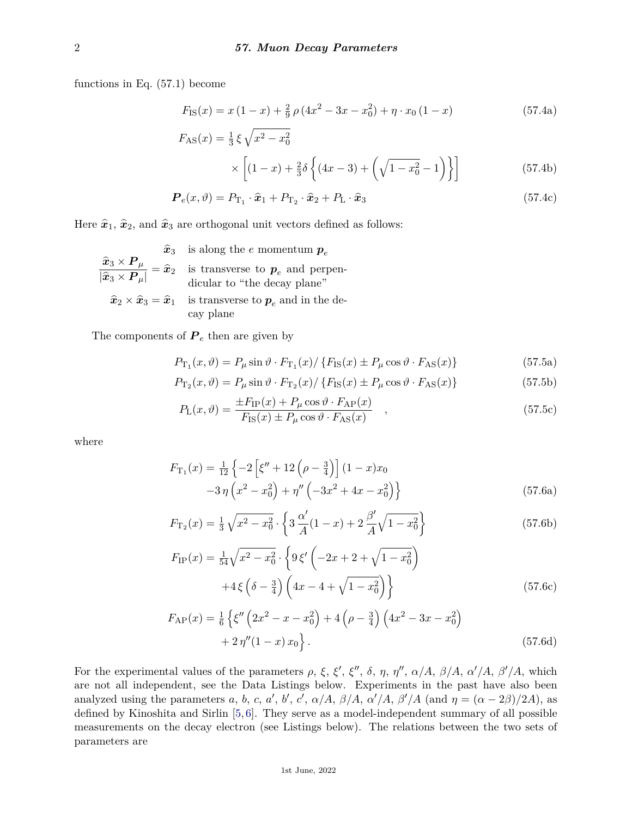functions in Eq. (57.1) become

$$
F_{\rm IS}(x) = x(1-x) + \frac{2}{9}\rho(4x^2 - 3x - x_0^2) + \eta \cdot x_0(1-x)
$$
 (57.4a)

$$
F_{\text{AS}}(x) = \frac{1}{3} \xi \sqrt{x^2 - x_0^2}
$$
  
 
$$
\times \left[ (1 - x) + \frac{2}{3} \delta \left\{ (4x - 3) + \left( \sqrt{1 - x_0^2} - 1 \right) \right\} \right]
$$
(57.4b)

$$
\boldsymbol{P}_e(x,\vartheta) = P_{\mathrm{T}_1} \cdot \hat{\boldsymbol{x}}_1 + P_{\mathrm{T}_2} \cdot \hat{\boldsymbol{x}}_2 + P_{\mathrm{L}} \cdot \hat{\boldsymbol{x}}_3 \tag{57.4c}
$$

Here  $\hat{\mathbf{x}}_1$ ,  $\hat{\mathbf{x}}_2$ , and  $\hat{\mathbf{x}}_3$  are orthogonal unit vectors defined as follows:

$$
\frac{\widehat{x}_3 \times P_{\mu}}{|\widehat{x}_3 \times P_{\mu}|} = \widehat{x}_2 \quad \text{is transverse to } \boldsymbol{p}_e \text{ and perpen-dicular to "the decay plane"}
$$
\n
$$
\widehat{x}_2 \times \widehat{x}_3 = \widehat{x}_1 \quad \text{is transverse to } \boldsymbol{p}_e \text{ and in the decay plane"}
$$
\n
$$
\widehat{x}_2 \times \widehat{x}_3 = \widehat{x}_1 \quad \text{is transverse to } \boldsymbol{p}_e \text{ and in the decay plane}
$$

The components of  $P_e$  then are given by

$$
P_{\text{T}_1}(x,\vartheta) = P_{\mu}\sin\vartheta \cdot F_{\text{T}_1}(x) / \{F_{\text{IS}}(x) \pm P_{\mu}\cos\vartheta \cdot F_{\text{AS}}(x)\}\tag{57.5a}
$$

$$
P_{\text{T}_2}(x,\vartheta) = P_{\mu}\sin\vartheta \cdot F_{\text{T}_2}(x) / \{F_{\text{IS}}(x) \pm P_{\mu}\cos\vartheta \cdot F_{\text{AS}}(x)\}\tag{57.5b}
$$

$$
P_{\rm L}(x,\vartheta) = \frac{\pm F_{\rm IP}(x) + P_{\mu}\cos\vartheta \cdot F_{\rm AP}(x)}{F_{\rm IS}(x) \pm P_{\mu}\cos\vartheta \cdot F_{\rm AS}(x)} \quad , \tag{57.5c}
$$

where

$$
F_{\text{T}_1}(x) = \frac{1}{12} \left\{ -2 \left[ \xi'' + 12 \left( \rho - \frac{3}{4} \right) \right] (1 - x) x_0 - 3 \eta \left( x^2 - x_0^2 \right) + \eta'' \left( -3x^2 + 4x - x_0^2 \right) \right\}
$$
(57.6a)

$$
F_{\text{T}_2}(x) = \frac{1}{3} \sqrt{x^2 - x_0^2} \cdot \left\{ 3 \frac{\alpha'}{A} (1 - x) + 2 \frac{\beta'}{A} \sqrt{1 - x_0^2} \right\} \tag{57.6b}
$$

$$
F_{IP}(x) = \frac{1}{54} \sqrt{x^2 - x_0^2} \cdot \left\{ 9\xi' \left( -2x + 2 + \sqrt{1 - x_0^2} \right) + 4\xi \left( \delta - \frac{3}{4} \right) \left( 4x - 4 + \sqrt{1 - x_0^2} \right) \right\}
$$
(57.6c)

$$
F_{AP}(x) = \frac{1}{6} \left\{ \xi'' \left( 2x^2 - x - x_0^2 \right) + 4 \left( \rho - \frac{3}{4} \right) \left( 4x^2 - 3x - x_0^2 \right) + 2 \eta'' (1 - x) x_0 \right\}.
$$
\n(57.6d)

For the experimental values of the parameters  $\rho$ ,  $\xi$ ,  $\xi'$ ,  $\xi''$ ,  $\delta$ ,  $\eta$ ,  $\eta''$ ,  $\alpha/A$ ,  $\beta/A$ ,  $\alpha'/A$ ,  $\beta'/A$ , which are not all independent, see the Data Listings below. Experiments in the past have also been analyzed using the parameters *a*, *b*, *c*, *a'*, *b'*, *c'*,  $\alpha/A$ ,  $\beta/A$ ,  $\alpha'/A$ ,  $\beta'/A$  (and  $\eta = (\alpha - 2\beta)/2A$ ), as defined by Kinoshita and Sirlin [\[5,](#page-5-1) [6\]](#page-5-2). They serve as a model-independent summary of all possible measurements on the decay electron (see Listings below). The relations between the two sets of parameters are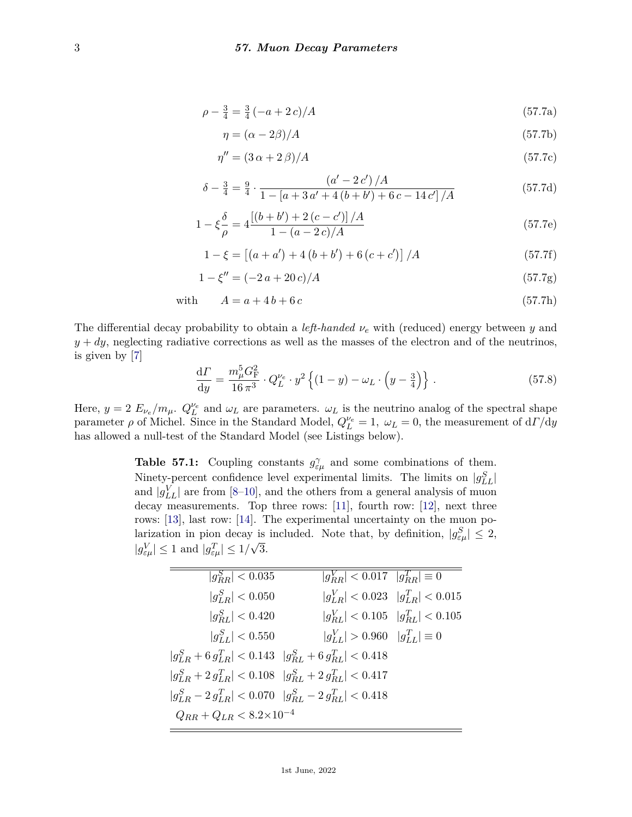$$
\rho - \frac{3}{4} = \frac{3}{4} \left( -a + 2c \right) / A \tag{57.7a}
$$

$$
\eta = (\alpha - 2\beta)/A \tag{57.7b}
$$

$$
\eta'' = (3\,\alpha + 2\,\beta)/A\tag{57.7c}
$$

$$
\delta - \frac{3}{4} = \frac{9}{4} \cdot \frac{\left(a' - 2c'\right)/A}{1 - \left[a + 3a' + 4\left(b + b'\right) + 6c - 14c'\right]/A} \tag{57.7d}
$$

$$
1 - \xi \frac{\delta}{\rho} = 4 \frac{\left[ (b + b') + 2 (c - c') \right] / A}{1 - (a - 2 c) / A}
$$
 (57.7e)

$$
1 - \xi = \left[ (a + a') + 4 (b + b') + 6 (c + c') \right] / A \tag{57.7f}
$$

$$
1 - \xi'' = (-2a + 20c)/A \tag{57.7g}
$$

with 
$$
A = a + 4b + 6c \tag{57.7h}
$$

The differential decay probability to obtain a *left-handed ν<sup>e</sup>* with (reduced) energy between *y* and  $y + dy$ , neglecting radiative corrections as well as the masses of the electron and of the neutrinos, is given by [\[7\]](#page-5-3)

$$
\frac{\mathrm{d}\Gamma}{\mathrm{d}y} = \frac{m_{\mu}^{5} G_{\mathrm{F}}^{2}}{16 \pi^{3}} \cdot Q_{L}^{\nu_{e}} \cdot y^{2} \left\{ (1-y) - \omega_{L} \cdot \left( y - \frac{3}{4} \right) \right\} \,. \tag{57.8}
$$

Here,  $y = 2 E_{\nu_e}/m_\mu$ .  $Q_L^{\nu_e}$  and  $\omega_L$  are parameters.  $\omega_L$  is the neutrino analog of the spectral shape parameter  $\rho$  of Michel. Since in the Standard Model,  $Q_L^{\nu_e} = 1$ ,  $\omega_L = 0$ , the measurement of  $dL/dy$ has allowed a null-test of the Standard Model (see Listings below).

**Table 57.1:** Coupling constants  $g_{\varepsilon\mu}^{\gamma}$  and some combinations of them. Ninety-percent confidence level experimental limits. The limits on  $|g_{LL}^S|$ and  $|g_{LL}^V|$  are from [\[8](#page-5-4)[–10\]](#page-5-5), and the others from a general analysis of muon decay measurements. Top three rows: [\[11\]](#page-5-6), fourth row: [\[12\]](#page-5-7), next three rows: [\[13\]](#page-5-8), last row: [\[14\]](#page-5-9). The experimental uncertainty on the muon polarization in pion decay is included. Note that, by definition,  $|g_{\varepsilon\mu}^S| \leq 2$ ,  $|g_{\varepsilon\mu}^V| \leq 1$  and  $|g_{\varepsilon\mu}^T| \leq 1/\sqrt{3}$ .

| $ g_{BB}^S  < 0.035$               | $ g_{RR}^V  < 0.017$ $ g_{RR}^T  \equiv 0$                          |  |
|------------------------------------|---------------------------------------------------------------------|--|
| $ g_{LR}^S  < 0.050$               | $ g_{LR}^V  < 0.023$ $ g_{LR}^T  < 0.015$                           |  |
| $ g_{BL}^S  < 0.420$               | $ g_{RL}^V  < 0.105$ $ g_{RL}^T  < 0.105$                           |  |
| $ g_{LL}^S  < 0.550$               | $ g_{LL}^V  > 0.960 \quad  g_{LL}^T  \equiv 0$                      |  |
|                                    | $ g_{LR}^S + 6 g_{LR}^T  < 0.143$ $ g_{RL}^S + 6 g_{RL}^T  < 0.418$ |  |
|                                    | $ g_{LR}^S + 2 g_{LR}^T  < 0.108$ $ g_{RL}^S + 2 g_{RL}^T  < 0.417$ |  |
|                                    | $ g_{LR}^S - 2 g_{LR}^T  < 0.070$ $ g_{RL}^S - 2 g_{RL}^T  < 0.418$ |  |
| $Q_{RR}+Q_{LR}<8.2{\times}10^{-4}$ |                                                                     |  |
|                                    |                                                                     |  |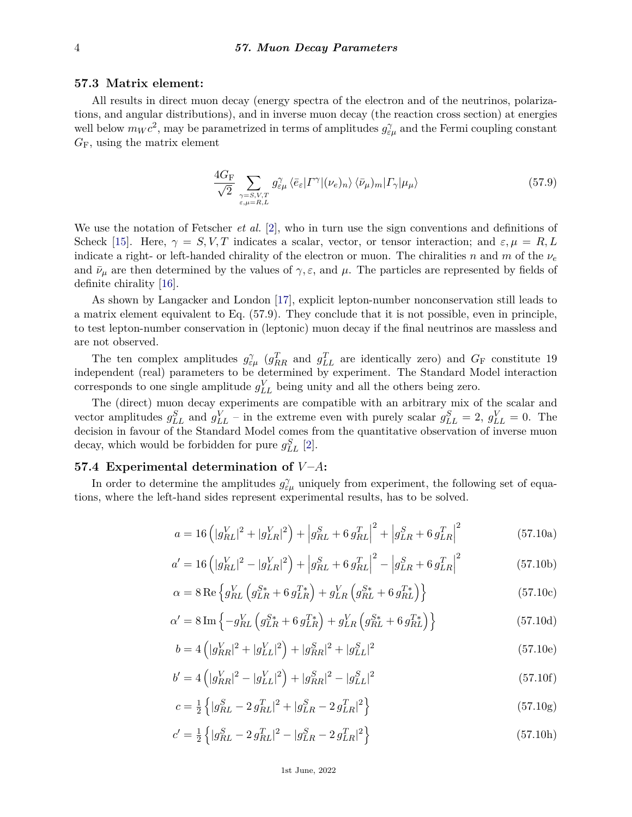# **57.3 Matrix element:**

All results in direct muon decay (energy spectra of the electron and of the neutrinos, polarizations, and angular distributions), and in inverse muon decay (the reaction cross section) at energies well below  $m_W c^2$ , may be parametrized in terms of amplitudes  $g_{\varepsilon\mu}^{\gamma}$  and the Fermi coupling constant *G*F, using the matrix element

$$
\frac{4G_{\rm F}}{\sqrt{2}} \sum_{\substack{\gamma = S, V, T \\ \varepsilon, \mu = R, L}} g_{\varepsilon \mu}^{\gamma} \langle \bar{e}_{\varepsilon} | \Gamma^{\gamma} | (\nu_e)_n \rangle \langle \bar{\nu}_{\mu} \rangle_m | \Gamma_{\gamma} | \mu_{\mu} \rangle \tag{57.9}
$$

We use the notation of Fetscher *et al.* [\[2\]](#page-4-1), who in turn use the sign conventions and definitions of Scheck [\[15\]](#page-5-10). Here,  $\gamma = S, V, T$  indicates a scalar, vector, or tensor interaction; and  $\varepsilon, \mu = R, L$ indicate a right- or left-handed chirality of the electron or muon. The chiralities *n* and *m* of the *ν<sup>e</sup>* and  $\bar{\nu}_{\mu}$  are then determined by the values of  $\gamma$ ,  $\varepsilon$ , and  $\mu$ . The particles are represented by fields of definite chirality [\[16\]](#page-5-11).

As shown by Langacker and London [\[17\]](#page-5-12), explicit lepton-number nonconservation still leads to a matrix element equivalent to Eq. (57.9). They conclude that it is not possible, even in principle, to test lepton-number conservation in (leptonic) muon decay if the final neutrinos are massless and are not observed.

The ten complex amplitudes  $g_{\varepsilon\mu}^{\gamma}$  ( $g_{RR}^T$  and  $g_{LL}^T$  are identically zero) and  $G_F$  constitute 19 independent (real) parameters to be determined by experiment. The Standard Model interaction corresponds to one single amplitude  $g_{LL}^V$  being unity and all the others being zero.

The (direct) muon decay experiments are compatible with an arbitrary mix of the scalar and vector amplitudes  $g_{LL}^S$  and  $g_{LL}^V$  – in the extreme even with purely scalar  $g_{LL}^S = 2$ ,  $g_{LL}^V = 0$ . The decision in favour of the Standard Model comes from the quantitative observation of inverse muon decay, which would be forbidden for pure  $g_{LL}^S$  [\[2\]](#page-4-1).

# **57.4 Experimental determination of** *V* **–***A***:**

In order to determine the amplitudes  $g_{\varepsilon\mu}^{\gamma}$  uniquely from experiment, the following set of equations, where the left-hand sides represent experimental results, has to be solved.

$$
a = 16\left(|g_{RL}^V|^2 + |g_{LR}^V|^2\right) + \left|g_{RL}^S + 6\,g_{RL}^T\right|^2 + \left|g_{LR}^S + 6\,g_{LR}^T\right|^2\tag{57.10a}
$$

$$
a' = 16\left(|g_{RL}^V|^2 - |g_{LR}^V|^2\right) + \left|g_{RL}^S + 6\,g_{RL}^T\right|^2 - \left|g_{LR}^S + 6\,g_{LR}^T\right|^2\tag{57.10b}
$$

$$
\alpha = 8 \operatorname{Re} \left\{ g_{RL}^V \left( g_{LR}^{S*} + 6 \, g_{LR}^{T*} \right) + g_{LR}^V \left( g_{RL}^{S*} + 6 \, g_{RL}^{T*} \right) \right\} \tag{57.10c}
$$

$$
\alpha' = 8 \operatorname{Im} \left\{ -g_{RL}^V \left( g_{LR}^{S*} + 6 \, g_{LR}^{T*} \right) + g_{LR}^V \left( g_{RL}^{S*} + 6 \, g_{RL}^{T*} \right) \right\} \tag{57.10d}
$$

$$
b = 4\left(|g_{RR}^V|^2 + |g_{LL}^V|^2\right) + |g_{RR}^S|^2 + |g_{LL}^S|^2\tag{57.10e}
$$

$$
b' = 4\left(|g_{RR}^V|^2 - |g_{LL}^V|^2\right) + |g_{RR}^S|^2 - |g_{LL}^S|^2\tag{57.10f}
$$

$$
c = \frac{1}{2} \left\{ |g_{RL}^S - 2 g_{RL}^T|^2 + |g_{LR}^S - 2 g_{LR}^T|^2 \right\}
$$
\n(57.10g)

$$
c' = \frac{1}{2} \left\{ |g_{RL}^S - 2 g_{RL}^T|^2 - |g_{LR}^S - 2 g_{LR}^T|^2 \right\}
$$
\n(57.10h)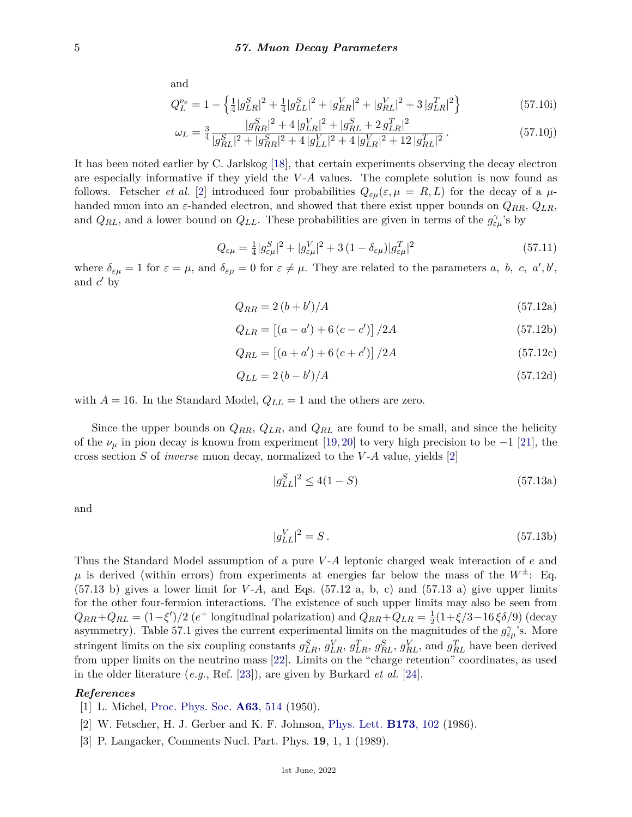and

$$
Q_L^{\nu_e} = 1 - \left\{ \frac{1}{4} |g_{LR}^S|^2 + \frac{1}{4} |g_{LL}^S|^2 + |g_{RR}^V|^2 + |g_{RL}^V|^2 + 3|g_{LR}^T|^2 \right\}
$$
(57.10i)

$$
\omega_L = \frac{3}{4} \frac{|g_{RR}^S|^2 + 4|g_{LR}^V|^2 + |g_{RL}^S + 2g_{LR}^T|^2}{|g_{RL}^S|^2 + |g_{RR}^S|^2 + 4|g_{LL}^V|^2 + 4|g_{LR}^V|^2 + 12|g_{RL}^T|^2}.
$$
\n(57.10j)

It has been noted earlier by C. Jarlskog [\[18\]](#page-5-13), that certain experiments observing the decay electron are especially informative if they yield the *V*-*A* values. The complete solution is now found as follows. Fetscher *et al.* [\[2\]](#page-4-1) introduced four probabilities  $Q_{\varepsilon\mu}(\varepsilon,\mu) = R, L$  for the decay of a  $\mu$ handed muon into an  $\varepsilon$ -handed electron, and showed that there exist upper bounds on  $Q_{RR}$ ,  $Q_{LR}$ , and  $Q_{RL}$ , and a lower bound on  $Q_{LL}$ . These probabilities are given in terms of the  $g_{\varepsilon\mu}^{\gamma}$ 's by

$$
Q_{\varepsilon\mu} = \frac{1}{4} |g_{\varepsilon\mu}^S|^2 + |g_{\varepsilon\mu}^V|^2 + 3(1 - \delta_{\varepsilon\mu})|g_{\varepsilon\mu}^T|^2
$$
\n(57.11)

where  $\delta_{\varepsilon\mu} = 1$  for  $\varepsilon = \mu$ , and  $\delta_{\varepsilon\mu} = 0$  for  $\varepsilon \neq \mu$ . They are related to the parameters *a*, *b*, *c*, *a'*, *b'*, and  $c'$  by

$$
Q_{RR} = 2(b + b')/A \tag{57.12a}
$$

$$
Q_{LR} = [(a - a') + 6(c - c')] / 2A
$$
\n(57.12b)

$$
Q_{RL} = [(a + a') + 6(c + c')] / 2A
$$
\n(57.12c)

$$
Q_{LL} = 2(b - b')/A \tag{57.12d}
$$

with  $A = 16$ . In the Standard Model,  $Q_{LL} = 1$  and the others are zero.

Since the upper bounds on *QRR*, *QLR*, and *QRL* are found to be small, and since the helicity of the  $\nu_{\mu}$  in pion decay is known from experiment [\[19,](#page-5-14) [20\]](#page-5-15) to very high precision to be −1 [\[21\]](#page-5-16), the cross section *S* of *inverse* muon decay, normalized to the *V* -*A* value, yields [\[2\]](#page-4-1)

$$
|g_{LL}^S|^2 \le 4(1-S) \tag{57.13a}
$$

and

$$
|g_{LL}^V|^2 = S. \t\t(57.13b)
$$

Thus the Standard Model assumption of a pure *V* -*A* leptonic charged weak interaction of *e* and  $\mu$  is derived (within errors) from experiments at energies far below the mass of the  $W^{\pm}$ : Eq.  $(57.13 \text{ b})$  gives a lower limit for *V*-*A*, and Eqs.  $(57.12 \text{ a}, \text{ b}, \text{ c})$  and  $(57.13 \text{ a})$  give upper limits for the other four-fermion interactions. The existence of such upper limits may also be seen from  $Q_{RR} + Q_{RL} = (1 - \xi')/2$  (*e*<sup>+</sup> longitudinal polarization) and  $Q_{RR} + Q_{LR} = \frac{1}{2}$ 2 (1+*ξ/*3−16 *ξδ/*9) (decay asymmetry). Table 57.1 gives the current experimental limits on the magnitudes of the  $g_{\varepsilon\mu}^{\gamma}$ 's. More stringent limits on the six coupling constants  $g_{LR}^S$ ,  $g_{LR}^V$ ,  $g_{LR}^T$ ,  $g_{RL}^S$ ,  $g_{RL}^V$ , and  $g_{RL}^T$  have been derived from upper limits on the neutrino mass [\[22\]](#page-5-17). Limits on the "charge retention" coordinates, as used in the older literature (*e.g.*, Ref. [\[23\]](#page-5-18)), are given by Burkard *et al.* [\[24\]](#page-5-19).

### <span id="page-4-0"></span>*References*

- <span id="page-4-1"></span>[1] L. Michel, [Proc. Phys. Soc.](http://doi.org/10.1088/0370-1298/63/5/311) **A63**[, 514](http://doi.org/10.1088/0370-1298/63/5/311) (1950).
- [2] W. Fetscher, H. J. Gerber and K. F. Johnson, [Phys. Lett.](http://doi.org/10.1016/0370-2693(86)91239-6) **[B173](http://doi.org/10.1016/0370-2693(86)91239-6)**, 102 (1986).
- <span id="page-4-2"></span>[3] P. Langacker, Comments Nucl. Part. Phys. **19**, 1, 1 (1989).